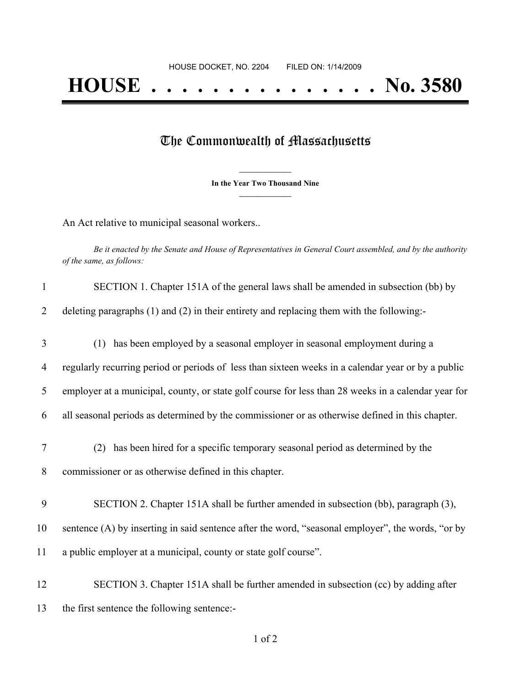## The Commonwealth of Massachusetts

**\_\_\_\_\_\_\_\_\_\_\_\_\_\_\_ In the Year Two Thousand Nine \_\_\_\_\_\_\_\_\_\_\_\_\_\_\_**

An Act relative to municipal seasonal workers..

Be it enacted by the Senate and House of Representatives in General Court assembled, and by the authority *of the same, as follows:*

| $\mathbf{1}$   | SECTION 1. Chapter 151A of the general laws shall be amended in subsection (bb) by                  |
|----------------|-----------------------------------------------------------------------------------------------------|
| $\overline{2}$ | deleting paragraphs $(1)$ and $(2)$ in their entirety and replacing them with the following:-       |
| 3              | has been employed by a seasonal employer in seasonal employment during a<br>(1)                     |
| $\overline{4}$ | regularly recurring period or periods of less than sixteen weeks in a calendar year or by a public  |
| 5              | employer at a municipal, county, or state golf course for less than 28 weeks in a calendar year for |
| 6              | all seasonal periods as determined by the commissioner or as otherwise defined in this chapter.     |
| 7              | has been hired for a specific temporary seasonal period as determined by the<br>(2)                 |
| 8              | commissioner or as otherwise defined in this chapter.                                               |
| 9              | SECTION 2. Chapter 151A shall be further amended in subsection (bb), paragraph (3),                 |
| 10             | sentence (A) by inserting in said sentence after the word, "seasonal employer", the words, "or by   |
| 11             | a public employer at a municipal, county or state golf course".                                     |
| 12             | SECTION 3. Chapter 151A shall be further amended in subsection (cc) by adding after                 |
| 13             | the first sentence the following sentence:-                                                         |